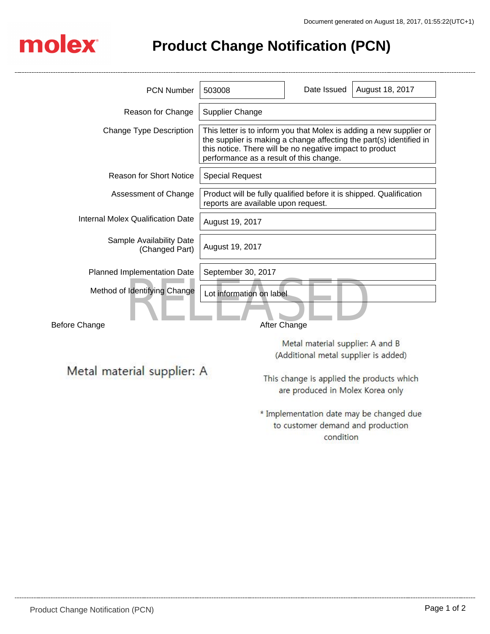

## **Product Change Notification (PCN)**

| <b>PCN Number</b>                                    | 503008                                                                                                                                                                                                                                            | Date Issued                       | August 18, 2017                          |
|------------------------------------------------------|---------------------------------------------------------------------------------------------------------------------------------------------------------------------------------------------------------------------------------------------------|-----------------------------------|------------------------------------------|
| Reason for Change                                    | <b>Supplier Change</b>                                                                                                                                                                                                                            |                                   |                                          |
| <b>Change Type Description</b>                       | This letter is to inform you that Molex is adding a new supplier or<br>the supplier is making a change affecting the part(s) identified in<br>this notice. There will be no negative impact to product<br>performance as a result of this change. |                                   |                                          |
| <b>Reason for Short Notice</b>                       | <b>Special Request</b>                                                                                                                                                                                                                            |                                   |                                          |
| Assessment of Change                                 | Product will be fully qualified before it is shipped. Qualification<br>reports are available upon request.                                                                                                                                        |                                   |                                          |
| <b>Internal Molex Qualification Date</b>             | August 19, 2017                                                                                                                                                                                                                                   |                                   |                                          |
| Sample Availability Date<br>(Changed Part)           | August 19, 2017                                                                                                                                                                                                                                   |                                   |                                          |
| Planned Implementation Date                          | September 30, 2017                                                                                                                                                                                                                                |                                   |                                          |
| Method of Identifying Change<br><b>Before Change</b> | Lot information on label<br>After Change                                                                                                                                                                                                          |                                   |                                          |
|                                                      |                                                                                                                                                                                                                                                   |                                   |                                          |
|                                                      | Metal material supplier: A and B<br>(Additional metal supplier is added)                                                                                                                                                                          |                                   |                                          |
|                                                      |                                                                                                                                                                                                                                                   |                                   |                                          |
| Metal material supplier: A                           | This change is applied the products which<br>are produced in Molex Korea only                                                                                                                                                                     |                                   |                                          |
|                                                      |                                                                                                                                                                                                                                                   | to customer demand and production | * Implementation date may be changed due |

condition